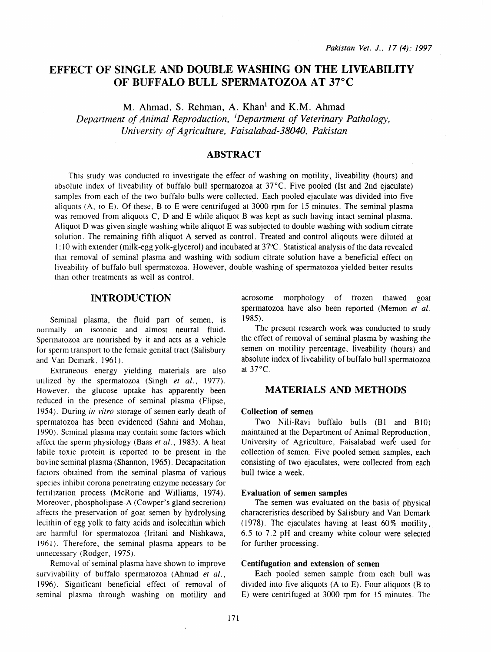# EFFECT OF SINGLE AND DOUBLE WASHING ON THE LIVEABILITY OF BUFFALO BULL SPERMATOZOA AT 37°C

M. Ahmad, S. Rehman, A. Khan<sup>1</sup> and K.M. Ahmad

*Department of Animal Reproduction,* <sup>1</sup> *Department of Veterinary Pathology, University of Agriculture, Faisalabad-38040, Pakistan* 

### ABSTRACT

This srudy was conducted to investigate the effect of washing on motility, liveability (hours) and absolute index of liveability of buffalo bull spermatozoa at 37°C. Five pooled (1st and 2nd ejaculate) samples from each of the two buffalo bulls were collected. Each pooled ejaculate was divided into five aliquots (A, ro E). Of these, B to E were centrifuged at 3000 rpm for 15 minutes. The seminal plasma was removed from aliquots C, D and E while aliquot B was kept as such having intact seminal plasma. Aliquot D was given single washing while aliquot E was subjected to double washing with sodium citrate solution. The remaining fifth aliquot A served as control. Treated and control aliqouts were diluted at 1:10 with extender (milk-egg yolk-glycerol) and incubated at 37°C. Statistical analysis of the data revealed that removal of seminal plasma and washing with sodium citrate solution have a beneficial effect on liveability of buffalo bull spermatozoa. However, double washing of spermatozoa yielded better results than other treatments as well as control.

### INTRODUCTION

Seminal plasma, the fluid part of semen, is normally an isotonic and almost neutral fluid. Spermatozoa are nourished by it and acts as a vehicle for sperm transport to the female genital tract (Salisbury and Van Demark, 1961).

Extraneous energy yielding materials are also utilized by the spermatozoa (Singh *et al.,* 1977). However. the glucose uptake has apparently been reduced in the presence of seminal plasma (Flipse, I 954). During *in vitro* storage of semen early death of spermatozoa has been evidenced (Sahni and Mohan, 1990). Seminal plasma may contain some factors which affect the sperm physiology (Baas *et al.,* 1983). A heat labile toxic protein is reported to be present in the bovine seminal plasma (Shannon, 1965). Decapacitation factors obtained from the seminal plasma of various species inhibit corona penetrating enzyme necessary for fertilization process (McRorie and Williams, 1974). Moreover, phospholipase-A (Cowper's gland secretion) affects the preservation of goat semen by hydrolysing lecithin of egg yolk to fatty acids and isolecithin which are harmful for spermatozoa (lritani and Nishkawa, 1961). Therefore, the seminal plasma appears to be unnecessary (Rodger, 1975).

Removal of seminal plasma have shown to improve survivability of buffalo spermatozoa (Ahmad *et al.,*  1996). Significant beneficial effect of removal of seminal plasma through washing on motility and

acrosome morphology of frozen thawed goat spermatozoa have also been reported (Memon *et al.*  1985).

The present research work was conducted to study the effect of removal of seminal plasma by washing the semen on motility percentage, liveability (hours) and absolute index of liveability of buffalo bull spermatozoa at 37°C.

## MATERIALS AND METHODS

#### Collection of semen

Two Nili-Ravi buffalo bulls  $(B1 \text{ and } B10)$ maintained at the Department of Animal Reproduction, University of Agriculture, Faisalabad were used for collection of semen. Five pooled semen samples, each consisting of two ejaculates, were collected from each bull twice a week.

#### Evaluation of semen samples

The semen was evaluated on the basis of physical characteristics described by Salisbury and Van Demark (1978). The ejaculates having at least 60% motility, 6. 5 to 7. 2 pH and creamy white colour were selected for further processing.

#### Centifugation and extension of semen

Each pooled semen sample from each bull was divided into five aliquots (A to E). Four aliquots (B to E) were centrifuged at 3000 rpm for 15 minutes. The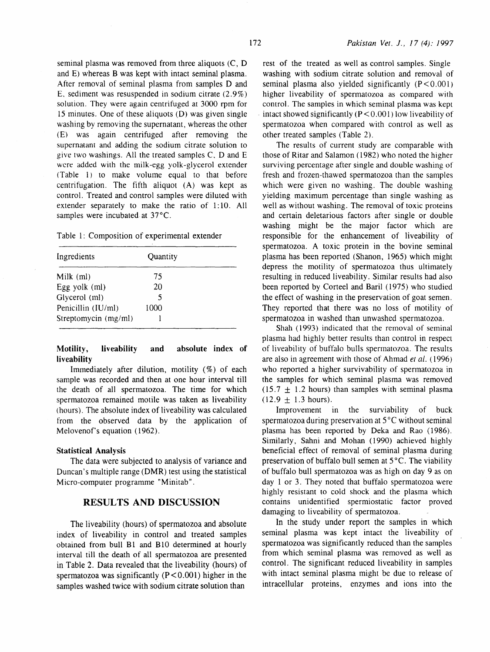seminal plasma was removed from three aliquots (C, D and E) whereas B was kept with intact seminal plasma. After removal of seminal plasma from samples D and E. sediment was resuspended in sodium citrate (2.9%) solution. They were again centrifuged at 3000 rpm for 15 minutes. One of these aliquots (D) was given single washing by removing the supernatant, whereas the other (E) was again centrifuged after removing the supernatant and adding the sodium citrate solution to give two washings. All the treated samples C, D and E were added with the milk-egg yolk-glycerol extender (Table 1) to make volume equal to that before centrifugation. The fifth aliquot (A) was kept as control. Treated and control samples were diluted with extender separately to make the ratio of 1:10. All samples were incubated at 37°C.

Table 1: Composition of experimental extender

| Ingredients          | Quantity |  |
|----------------------|----------|--|
| Milk $(ml)$          | 75       |  |
| Egg yolk (ml)        | 20       |  |
| Glycerol (ml)        | 5        |  |
| Penicillin (IU/ml)   | 1000     |  |
| Streptomycin (mg/ml) |          |  |

### Motility, liveability and absolute index of liveability

Immediately after dilution, motility (%) of each sample was recorded and then at one hour interval till the death of all spermatozoa. The time for which spermatozoa remained motile was taken as liveability (hours). The absolute index of liveability was calculated from the observed data by the application of Melovenof's equation (1962).

#### Statistical Analysis

The data were subjected to analysis of variance and Duncan's multiple range (DMR) test using the statistical Micro-computer programme "Minitab".

### RESULTS AND DISCUSSION

The liveability (hours) of spermatozoa and absolute index of liveability in control and treated samples obtained from bull B1 and BlO determined at hourly interval till the death of all spermatozoa are presented in Table 2. Data revealed that the liveability (hours) of spermatozoa was significantly  $(P < 0.001)$  higher in the samples washed twice with sodium citrate solution than

rest of the treated as well as control samples. Single washing with sodium citrate solution and removal of seminal plasma also yielded significantly  $(P < 0.001)$ higher liveability of spermatozoa as compared with control. The samples in which seminal plasma was kept intact showed significantly  $(P < 0.001)$  low liveability of spermatozoa when compared with control as well as other treated samples (Table 2).

The results of current study are comparable with those of Ritar and Salamon ( 1982) who noted the higher surviving percentage after single and double washing of fresh and frozen-thawed spermatozoa than the samples which were given no washing. The double washing yielding maximum percentage than single washing as well as without washing. The removal of toxic proteins and certain deletarious factors after single or double washing might be the major factor which are responsible for the enhancement of liveability of spermatozoa. A toxic protein in the bovine seminal plasma has been reported (Shanon, 1965) which might depress the motility of spermatozoa thus ultimately resulting in reduced liveability. Similar results had also been reported by Corteel and Baril (1975) who studied the effect of washing in the preservation of goat semen. They reported that there was no loss of motility of spermatozoa in washed than unwashed spermatozoa.

Shah (1993) indicated that the removal of seminal plasma had highly better results than control in respect of liveability of buffalo bulls spermatozoa. The results are also in agreement with those of Ahmad et al. (1996) who reported a higher survivability of spermatozoa in the samples for which seminal plasma was removed  $(15.7 \pm 1.2 \text{ hours})$  than samples with seminal plasma  $(12.9 \pm 1.3 \text{ hours}).$ 

Improvement in the surviability of buck spermatozoa during preservation at  $5^{\circ}$ C without seminal plasma has been reported by Deka and Rao (1986). Similarly, Sahni and Mohan (1990) achieved highly beneficial effect of removal of seminal plasma during preservation of buffalo bull semen at  $5^{\circ}$ C. The viability of buffalo bull spermatozoa was as high on day 9 as on day 1 or 3. They noted that buffalo spermatozoa were highly resistant to cold shock and the plasma which contains unidentified spermiostatic factor proved damaging to liveability of spermatozoa.

In the study under report the samples in which seminal plasma was kept intact the liveability of spermatozoa was significantly reduced than the samples from which seminal plasma was removed as well as control. The significant reduced liveability in samples with intact seminal plasma might be due to release of intracellular proteins, enzymes and ions into the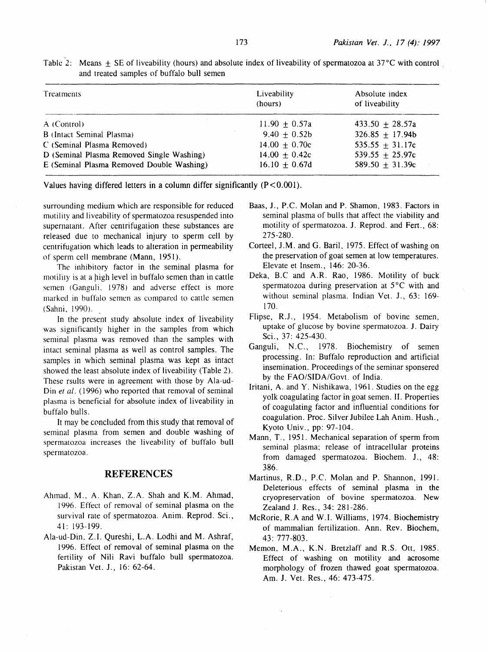| Treatments                                | Liveability<br>(hours) | Absolute index<br>of liveability |
|-------------------------------------------|------------------------|----------------------------------|
| A (Control)                               | $11.90 + 0.57a$        | $433.50 + 28.57a$                |
| B (Intact Seminal Plasma)                 | 9.40 $\pm$ 0.52b       | $326.85 + 17.94b$                |
| C (Seminal Plasma Removed)                | $14.00 \pm 0.70c$      | 535.55 $\pm$ 31.17c              |
| D (Seminal Plasma Removed Single Washing) | 14.00 $\pm$ 0.42c      | 539.55 $\pm$ 25.97c              |
| E (Seminal Plasma Removed Double Washing) | 16.10 $\pm$ 0.67d      | 589.50 $\pm$ 31.39c              |

Table 2: Means  $+$  SE of liveability (hours) and absolute index of liveability of spermatozoa at 37 $\degree$ C with control and treated samples of buffalo bull semen

Values having differed letters in a column differ significantly **(P** < 0.00 1).

surrounding medium which are responsible for reduced motility and liveability of spermatozoa resuspended into supernatant. After centrifugation these substances are released due to mechanical injury to sperm cell by centrifugation which leads to alteration in permeability of sperm cell membrane (Mann, 1951).

The inhibitory factor in the seminal plasma for motility is at a high level in buffalo semen than in cattle semen (Ganguli. 1978) and adverse effect is more marked in buffalo semen as compared to cattle semen (Sahni, 1990).

In the present study absolute index of liveability was significantly higher in the samples from which seminal plasma was removed than the samples with intact seminal plasma as well as control samples. The samples in which seminal plasma was kept as intact showed the least absolute index of liveability (Table 2). These rsults were in agreement with those by Ala-ud-Din et al. (1996) who reported that removal of seminal plasma is beneficial for absolute index of liveability in buffalo bulls.

It may be concluded from this study that removal of seminal plasma from semen and double washing of spermatozoa increases the liveability of buffalo bull spermatozoa.

## **REFERENCES**

- Ahmad, M., A. Khan, Z.A. Shah and K.M. Ahmad, 1996. Effect of removal of seminal plasma on the survival rate of spermatozoa. Anim. Reprod. Sci., 41: 193-199.
- Ala-ud-Din, Z.I. Qureshi, L.A. Lodhi and M. Ashraf, 1996. Effect of removal of seminal plasma on the fertility of Nili Ravi buffalo bull spermatozoa. Pakistan Vet. J., 16: 62-64.
- Baas, J., P.C. Molan and P. Shamon, 1983. Factors in seminal plasma of bulls that affect the viability and motility of spermatozoa. 1. Reprod. and Fert., 68: 275-280.
- Corteel, J.M. and G. Baril, 1975. Effect of washing on the preservation of goat semen at low temperatures. Elevate et Insem., 146: 20-36.
- Deka, B.C and A.R. Rao, 1986. Motility of buck spermatozoa during preservation at  $5^{\circ}$ C with and without seminal plasma. Indian Yet. *1.,* 63: 169- 170.
- Flipse, R.J., 1954. Metabolism of bovine semen, uptake of glucose by bovine spermatozoa. J. Dairy Sci., 37: 425-430.
- Ganguli, N.C., 1978. Biochemistry of semen processing. In: Buffalo reproduction and artificial insemination. Proceedings of the seminar sponsered by the FAO/SIDA/Govt. of India.
- Iritani, A. and Y. Nishikawa, 1961. Studies on the egg yolk coagulating factor in goat semen. II. Properties of coagulating factor and influential conditions for coagulation. Proc. Silver Jubilee Lah Anim. Hush., Kyoto Univ., pp: 97-104.
- Mann, T., 1951. Mechanical separation of sperm from seminal plasma; release of intracellular proteins from damaged spermatozoa. Biochem. J., 48: 386.
- Martinus, R.D., P.C. Molan and P. Shannon, 1991. Deleterious effects of seminal plasma in the cryopreservation of bovine spermatozoa. New Zealand J. Res., 34: 281-286.
- McRorie, R.A and W.I. Williams, 1974. Biochemistry of mammalian fertilization. Ann. Rev. Biochem, 43: 777-803.
- Memon, M.A., K.N. Bretzlaff and R.S. Ott, 1985. Effect of washing on motility and acrosome morphology of frozen thawed goat spermatozoa. Am. J. Yet. Res., 46: 473-475.